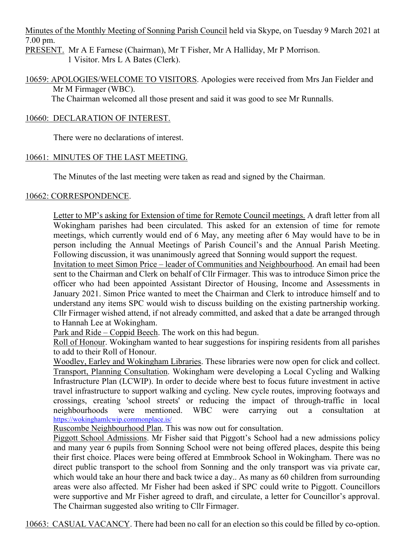Minutes of the Monthly Meeting of Sonning Parish Council held via Skype, on Tuesday 9 March 2021 at 7.00 pm.

PRESENT. Mr A E Farnese (Chairman), Mr T Fisher, Mr A Halliday, Mr P Morrison. 1 Visitor. Mrs L A Bates (Clerk).

10659: APOLOGIES/WELCOME TO VISITORS. Apologies were received from Mrs Jan Fielder and Mr M Firmager (WBC).

The Chairman welcomed all those present and said it was good to see Mr Runnalls.

# 10660: DECLARATION OF INTEREST.

There were no declarations of interest.

# 10661: MINUTES OF THE LAST MEETING.

The Minutes of the last meeting were taken as read and signed by the Chairman.

## 10662: CORRESPONDENCE.

Letter to MP's asking for Extension of time for Remote Council meetings. A draft letter from all Wokingham parishes had been circulated. This asked for an extension of time for remote meetings, which currently would end of 6 May, any meeting after 6 May would have to be in person including the Annual Meetings of Parish Council's and the Annual Parish Meeting. Following discussion, it was unanimously agreed that Sonning would support the request.

Invitation to meet Simon Price – leader of Communities and Neighbourhood. An email had been sent to the Chairman and Clerk on behalf of Cllr Firmager. This was to introduce Simon price the officer who had been appointed Assistant Director of Housing, Income and Assessments in January 2021. Simon Price wanted to meet the Chairman and Clerk to introduce himself and to understand any items SPC would wish to discuss building on the existing partnership working. Cllr Firmager wished attend, if not already committed, and asked that a date be arranged through to Hannah Lee at Wokingham.

Park and Ride – Coppid Beech. The work on this had begun.

Roll of Honour. Wokingham wanted to hear suggestions for inspiring residents from all parishes to add to their Roll of Honour.

Woodley, Earley and Wokingham Libraries. These libraries were now open for click and collect. Transport, Planning Consultation. Wokingham were developing a Local Cycling and Walking Infrastructure Plan (LCWIP). In order to decide where best to focus future investment in active travel infrastructure to support walking and cycling. New cycle routes, improving footways and crossings, creating 'school streets' or reducing the impact of through-traffic in local neighbourhoods were mentioned. WBC were carrying out a consultation at <https://wokinghamlcwip.commonplace.is/>

Ruscombe Neighbourhood Plan. This was now out for consultation.

Piggott School Admissions. Mr Fisher said that Piggott's School had a new admissions policy and many year 6 pupils from Sonning School were not being offered places, despite this being their first choice. Places were being offered at Emmbrook School in Wokingham. There was no direct public transport to the school from Sonning and the only transport was via private car, which would take an hour there and back twice a day.. As many as 60 children from surrounding areas were also affected. Mr Fisher had been asked if SPC could write to Piggott. Councillors were supportive and Mr Fisher agreed to draft, and circulate, a letter for Councillor's approval. The Chairman suggested also writing to Cllr Firmager.

10663: CASUAL VACANCY. There had been no call for an election so this could be filled by co-option.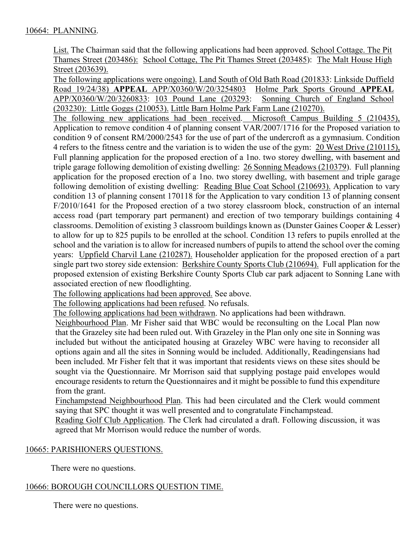List. The Chairman said that the following applications had been approved. School Cottage. The Pit Thames Street (203486): School Cottage, The Pit Thames Street (203485): The Malt House High Street (203639).

The following applications were ongoing). Land South of Old Bath Road (201833: Linkside Duffield Road 19/24/38) **APPEAL** APP/X0360/W/20/3254803 Holme Park Sports Ground **APPEAL** APP/X0360/W/20/3260833: 103 Pound Lane (203293: (203230): Little Goggs (210053). Little Barn Holme Park Farm Lane (210270).

The following new applications had been received. Microsoft Campus Building 5 (210435), Application to remove condition 4 of planning consent VAR/2007/1716 for the Proposed variation to condition 9 of consent RM/2000/2543 for the use of part of the undercroft as a gymnasium. Condition 4 refers to the fitness centre and the variation is to widen the use of the gym: 20 West Drive (210115), Full planning application for the proposed erection of a 1no. two storey dwelling, with basement and triple garage following demolition of existing dwelling: 26 Sonning Meadows (210379). Full planning application for the proposed erection of a 1no. two storey dwelling, with basement and triple garage following demolition of existing dwelling: Reading Blue Coat School (210693). Application to vary condition 13 of planning consent 170118 for the Application to vary condition 13 of planning consent F/2010/1641 for the Proposed erection of a two storey classroom block, construction of an internal access road (part temporary part permanent) and erection of two temporary buildings containing 4 classrooms. Demolition of existing 3 classroom buildings known as (Dunster Gaines Cooper & Lesser) to allow for up to 825 pupils to be enrolled at the school. Condition 13 refers to pupils enrolled at the school and the variation is to allow for increased numbers of pupils to attend the school over the coming years: Uppfield Charvil Lane (210287). Householder application for the proposed erection of a part single part two storey side extension: Berkshire County Sports Club (210694). Full application for the proposed extension of existing Berkshire County Sports Club car park adjacent to Sonning Lane with associated erection of new floodlighting.

The following applications had been approved. See above.

The following applications had been refused. No refusals.

The following applications had been withdrawn. No applications had been withdrawn.

Neighbourhood Plan. Mr Fisher said that WBC would be reconsulting on the Local Plan now that the Grazeley site had been ruled out. With Grazeley in the Plan only one site in Sonning was included but without the anticipated housing at Grazeley WBC were having to reconsider all options again and all the sites in Sonning would be included. Additionally, Readingensians had been included. Mr Fisher felt that it was important that residents views on these sites should be sought via the Questionnaire. Mr Morrison said that supplying postage paid envelopes would encourage residents to return the Questionnaires and it might be possible to fund this expenditure from the grant.

Finchampstead Neighbourhood Plan. This had been circulated and the Clerk would comment saying that SPC thought it was well presented and to congratulate Finchampstead.

Reading Golf Club Application. The Clerk had circulated a draft. Following discussion, it was agreed that Mr Morrison would reduce the number of words.

## 10665: PARISHIONERS QUESTIONS.

There were no questions.

## 10666: BOROUGH COUNCILLORS QUESTION TIME.

There were no questions.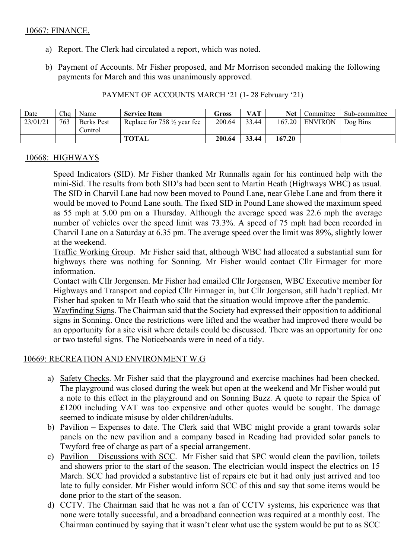#### 10667: FINANCE.

- a) Report. The Clerk had circulated a report, which was noted.
- b) Payment of Accounts. Mr Fisher proposed, and Mr Morrison seconded making the following payments for March and this was unanimously approved.

| PAYMENT OF ACCOUNTS MARCH '21 (1-28 February '21) |  |  |
|---------------------------------------------------|--|--|
|                                                   |  |  |

| Date     | Cha | Name              | <b>Service Item</b>                    | Gross  | VAT   | <b>Net</b> | Committee        | Sub-committee |
|----------|-----|-------------------|----------------------------------------|--------|-------|------------|------------------|---------------|
| 23/01/21 | 763 | <b>Berks</b> Pest | Replace for $758 \frac{1}{2}$ year fee | 200.64 | 33.44 |            | $167.20$ ENVIRON | Dog Bins      |
|          |     | Control           |                                        |        |       |            |                  |               |
|          |     |                   | <b>TOTAL</b>                           | 200.64 | 33.44 | 167.20     |                  |               |

#### 10668: HIGHWAYS

Speed Indicators (SID). Mr Fisher thanked Mr Runnalls again for his continued help with the mini-Sid. The results from both SID's had been sent to Martin Heath (Highways WBC) as usual. The SID in Charvil Lane had now been moved to Pound Lane, near Glebe Lane and from there it would be moved to Pound Lane south. The fixed SID in Pound Lane showed the maximum speed as 55 mph at 5.00 pm on a Thursday. Although the average speed was 22.6 mph the average number of vehicles over the speed limit was 73.3%. A speed of 75 mph had been recorded in Charvil Lane on a Saturday at 6.35 pm. The average speed over the limit was 89%, slightly lower at the weekend.

Traffic Working Group. Mr Fisher said that, although WBC had allocated a substantial sum for highways there was nothing for Sonning. Mr Fisher would contact Cllr Firmager for more information.

Contact with Cllr Jorgensen. Mr Fisher had emailed Cllr Jorgensen, WBC Executive member for Highways and Transport and copied Cllr Firmager in, but Cllr Jorgenson, still hadn't replied. Mr Fisher had spoken to Mr Heath who said that the situation would improve after the pandemic.

Wayfinding Signs. The Chairman said that the Society had expressed their opposition to additional signs in Sonning. Once the restrictions were lifted and the weather had improved there would be an opportunity for a site visit where details could be discussed. There was an opportunity for one or two tasteful signs. The Noticeboards were in need of a tidy.

#### 10669: RECREATION AND ENVIRONMENT W.G

- a) Safety Checks. Mr Fisher said that the playground and exercise machines had been checked. The playground was closed during the week but open at the weekend and Mr Fisher would put a note to this effect in the playground and on Sonning Buzz. A quote to repair the Spica of £1200 including VAT was too expensive and other quotes would be sought. The damage seemed to indicate misuse by older children/adults.
- b) Pavilion Expenses to date. The Clerk said that WBC might provide a grant towards solar panels on the new pavilion and a company based in Reading had provided solar panels to Twyford free of charge as part of a special arrangement.
- c) Pavilion Discussions with SCC. Mr Fisher said that SPC would clean the pavilion, toilets and showers prior to the start of the season. The electrician would inspect the electrics on 15 March. SCC had provided a substantive list of repairs etc but it had only just arrived and too late to fully consider. Mr Fisher would inform SCC of this and say that some items would be done prior to the start of the season.
- d) CCTV. The Chairman said that he was not a fan of CCTV systems, his experience was that none were totally successful, and a broadband connection was required at a monthly cost. The Chairman continued by saying that it wasn't clear what use the system would be put to as SCC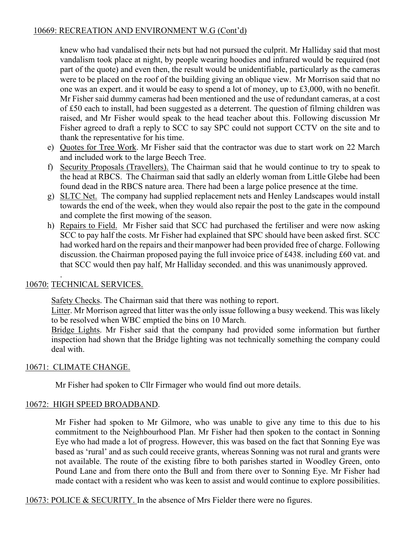# 10669: RECREATION AND ENVIRONMENT W.G (Cont'd)

knew who had vandalised their nets but had not pursued the culprit. Mr Halliday said that most vandalism took place at night, by people wearing hoodies and infrared would be required (not part of the quote) and even then, the result would be unidentifiable, particularly as the cameras were to be placed on the roof of the building giving an oblique view. Mr Morrison said that no one was an expert. and it would be easy to spend a lot of money, up to £3,000, with no benefit. Mr Fisher said dummy cameras had been mentioned and the use of redundant cameras, at a cost of £50 each to install, had been suggested as a deterrent. The question of filming children was raised, and Mr Fisher would speak to the head teacher about this. Following discussion Mr Fisher agreed to draft a reply to SCC to say SPC could not support CCTV on the site and to thank the representative for his time.

- e) Quotes for Tree Work. Mr Fisher said that the contractor was due to start work on 22 March and included work to the large Beech Tree.
- f) Security Proposals (Travellers). The Chairman said that he would continue to try to speak to the head at RBCS. The Chairman said that sadly an elderly woman from Little Glebe had been found dead in the RBCS nature area. There had been a large police presence at the time.
- g) SLTC Net. The company had supplied replacement nets and Henley Landscapes would install towards the end of the week, when they would also repair the post to the gate in the compound and complete the first mowing of the season.
- h) Repairs to Field. Mr Fisher said that SCC had purchased the fertiliser and were now asking SCC to pay half the costs. Mr Fisher had explained that SPC should have been asked first. SCC had worked hard on the repairs and their manpower had been provided free of charge. Following discussion. the Chairman proposed paying the full invoice price of £438. including £60 vat. and that SCC would then pay half, Mr Halliday seconded. and this was unanimously approved.

#### . 10670: TECHNICAL SERVICES.

Safety Checks. The Chairman said that there was nothing to report.

Litter. Mr Morrison agreed that litter was the only issue following a busy weekend. This was likely to be resolved when WBC emptied the bins on 10 March.

Bridge Lights. Mr Fisher said that the company had provided some information but further inspection had shown that the Bridge lighting was not technically something the company could deal with.

## 10671: CLIMATE CHANGE.

Mr Fisher had spoken to Cllr Firmager who would find out more details.

## 10672: HIGH SPEED BROADBAND.

Mr Fisher had spoken to Mr Gilmore, who was unable to give any time to this due to his commitment to the Neighbourhood Plan. Mr Fisher had then spoken to the contact in Sonning Eye who had made a lot of progress. However, this was based on the fact that Sonning Eye was based as 'rural' and as such could receive grants, whereas Sonning was not rural and grants were not available. The route of the existing fibre to both parishes started in Woodley Green, onto Pound Lane and from there onto the Bull and from there over to Sonning Eye. Mr Fisher had made contact with a resident who was keen to assist and would continue to explore possibilities.

10673: POLICE & SECURITY. In the absence of Mrs Fielder there were no figures.